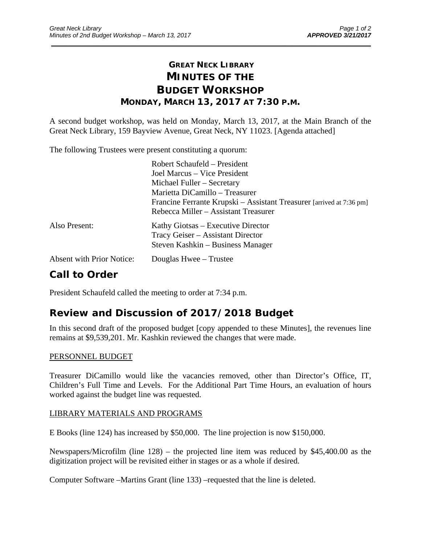# **GREAT NECK LIBRARY MINUTES OF THE BUDGET WORKSHOP MONDAY, MARCH 13, 2017 AT 7:30 P.M.**

\_\_\_\_\_\_\_\_\_\_\_\_\_\_\_\_\_\_\_\_\_\_\_\_\_\_\_\_\_\_\_\_\_\_\_\_\_\_\_\_\_\_\_\_\_\_\_\_\_\_\_\_\_\_\_\_\_\_\_\_\_\_\_\_\_\_\_\_\_\_\_\_\_\_\_\_\_\_\_\_\_\_\_\_\_\_\_\_\_\_\_\_\_

A second budget workshop, was held on Monday, March 13, 2017, at the Main Branch of the Great Neck Library, 159 Bayview Avenue, Great Neck, NY 11023. [Agenda attached]

The following Trustees were present constituting a quorum:

|                                  | Robert Schaufeld – President                                         |
|----------------------------------|----------------------------------------------------------------------|
|                                  | Joel Marcus – Vice President                                         |
|                                  | Michael Fuller – Secretary                                           |
|                                  | Marietta DiCamillo - Treasurer                                       |
|                                  | Francine Ferrante Krupski – Assistant Treasurer [arrived at 7:36 pm] |
|                                  | Rebecca Miller – Assistant Treasurer                                 |
| Also Present:                    | Kathy Giotsas – Executive Director                                   |
|                                  | Tracy Geiser – Assistant Director                                    |
|                                  | Steven Kashkin – Business Manager                                    |
| <b>Absent with Prior Notice:</b> | Douglas Hwee – Trustee                                               |
|                                  |                                                                      |

# **Call to Order**

President Schaufeld called the meeting to order at 7:34 p.m.

## **Review and Discussion of 2017/2018 Budget**

In this second draft of the proposed budget [copy appended to these Minutes], the revenues line remains at \$9,539,201. Mr. Kashkin reviewed the changes that were made.

### PERSONNEL BUDGET

Treasurer DiCamillo would like the vacancies removed, other than Director's Office, IT, Children's Full Time and Levels. For the Additional Part Time Hours, an evaluation of hours worked against the budget line was requested.

## LIBRARY MATERIALS AND PROGRAMS

E Books (line 124) has increased by \$50,000. The line projection is now \$150,000.

Newspapers/Microfilm (line 128) – the projected line item was reduced by \$45,400.00 as the digitization project will be revisited either in stages or as a whole if desired.

Computer Software –Martins Grant (line 133) –requested that the line is deleted.